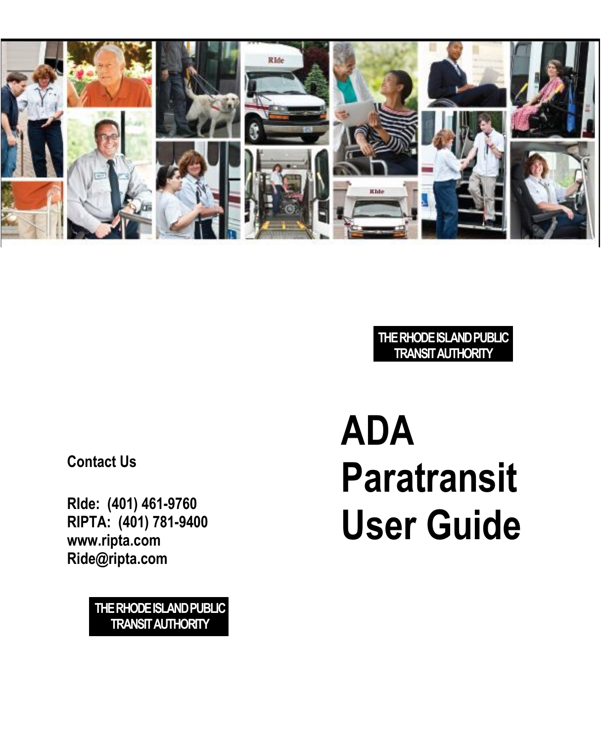

#### **THE RHODE ISLAND PUBLIC TRANSIT AUTHORITY**

**Contact Us**

**RIde: (401) 461-9760 RIPTA: (401) 781-9400 www.ripta.com Ride@ripta.com**

> **THE RHODE ISLAND PUBLIC TRANSIT AUTHORITY**

# **ADA Paratransit User Guide**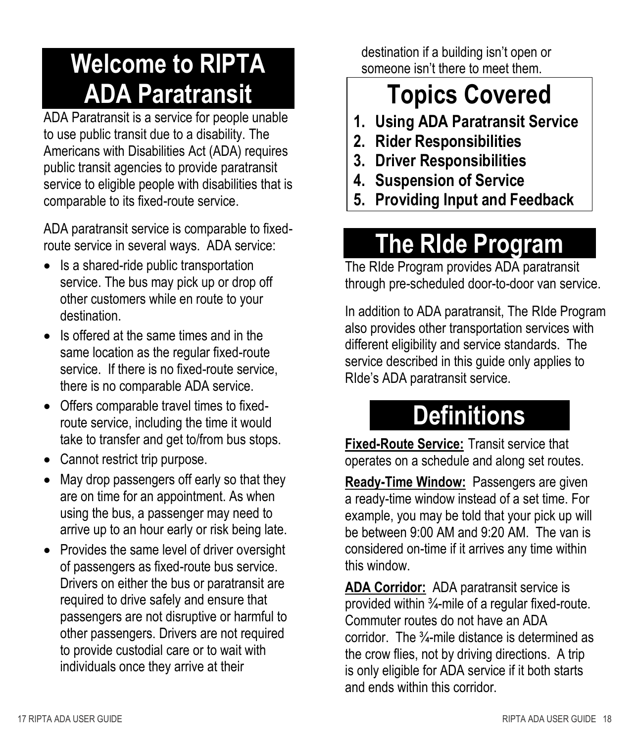# **Welcome to RIPTA ADA Paratransit**

ADA Paratransit is a service for people unable to use public transit due to a disability. The Americans with Disabilities Act (ADA) requires public transit agencies to provide paratransit service to eligible people with disabilities that is comparable to its fixed-route service.

ADA paratransit service is comparable to fixedroute service in several ways. ADA service:

- Is a shared-ride public transportation service. The bus may pick up or drop off other customers while en route to your destination.
- Is offered at the same times and in the same location as the regular fixed-route service. If there is no fixed-route service, there is no comparable ADA service.
- Offers comparable travel times to fixedroute service, including the time it would take to transfer and get to/from bus stops.
- Cannot restrict trip purpose.
- May drop passengers off early so that they are on time for an appointment. As when using the bus, a passenger may need to arrive up to an hour early or risk being late.
- Provides the same level of driver oversight of passengers as fixed-route bus service. Drivers on either the bus or paratransit are required to drive safely and ensure that passengers are not disruptive or harmful to other passengers. Drivers are not required to provide custodial care or to wait with individuals once they arrive at their

destination if a building isn't open or someone isn't there to meet them.

# **Topics Covered**

- **1. Using ADA Paratransit Service**
- **2. Rider Responsibilities**
- **3. Driver Responsibilities**
- **4. Suspension of Service**
- **5. Providing Input and Feedback**

# **The RIde Program**

The RIde Program provides ADA paratransit through pre-scheduled door-to-door van service.

In addition to ADA paratransit, The RIde Program also provides other transportation services with different eligibility and service standards. The service described in this guide only applies to RIde's ADA paratransit service.

# **Definitions**

**Fixed-Route Service:** Transit service that operates on a schedule and along set routes.

**Ready-Time Window:** Passengers are given a ready-time window instead of a set time. For example, you may be told that your pick up will be between 9:00 AM and 9:20 AM. The van is considered on-time if it arrives any time within this window.

**ADA Corridor:** ADA paratransit service is provided within ¾-mile of a regular fixed-route. Commuter routes do not have an ADA corridor. The ¾-mile distance is determined as the crow flies, not by driving directions. A trip is only eligible for ADA service if it both starts and ends within this corridor.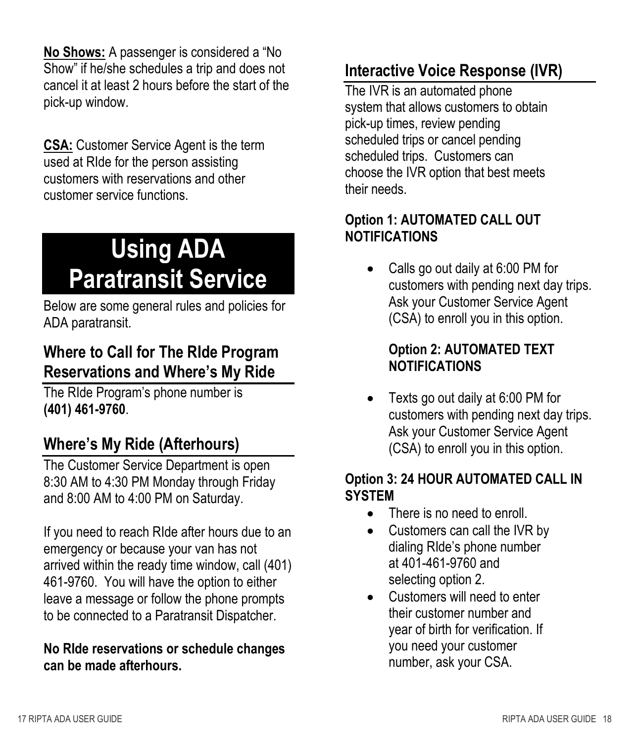**No Shows:** A passenger is considered a "No Show" if he/she schedules a trip and does not cancel it at least 2 hours before the start of the pick-up window.

**CSA:** Customer Service Agent is the term used at RIde for the person assisting customers with reservations and other customer service functions.

# **Using ADA Paratransit Service**

Below are some general rules and policies for ADA paratransit.

#### **Where to Call for The RIde Program Reservations and Where's My Ride**

The RIde Program's phone number is **(401) 461-9760**.

#### **Where's My Ride (Afterhours)**

The Customer Service Department is open 8:30 AM to 4:30 PM Monday through Friday and 8:00 AM to 4:00 PM on Saturday.

If you need to reach RIde after hours due to an emergency or because your van has not arrived within the ready time window, call (401) 461-9760. You will have the option to either leave a message or follow the phone prompts to be connected to a Paratransit Dispatcher.

#### **No RIde reservations or schedule changes can be made afterhours.**

#### **Interactive Voice Response (IVR)**

The IVR is an automated phone system that allows customers to obtain pick-up times, review pending scheduled trips or cancel pending scheduled trips. Customers can choose the IVR option that best meets their needs.

#### **Option 1: AUTOMATED CALL OUT NOTIFICATIONS**

 Calls go out daily at 6:00 PM for customers with pending next day trips. Ask your Customer Service Agent (CSA) to enroll you in this option.

#### **Option 2: AUTOMATED TEXT NOTIFICATIONS**

 Texts go out daily at 6:00 PM for customers with pending next day trips. Ask your Customer Service Agent (CSA) to enroll you in this option.

#### **Option 3: 24 HOUR AUTOMATED CALL IN SYSTEM**

- There is no need to enroll.
- Customers can call the IVR by dialing RIde's phone number at 401-461-9760 and selecting option 2.
- Customers will need to enter their customer number and year of birth for verification. If you need your customer number, ask your CSA.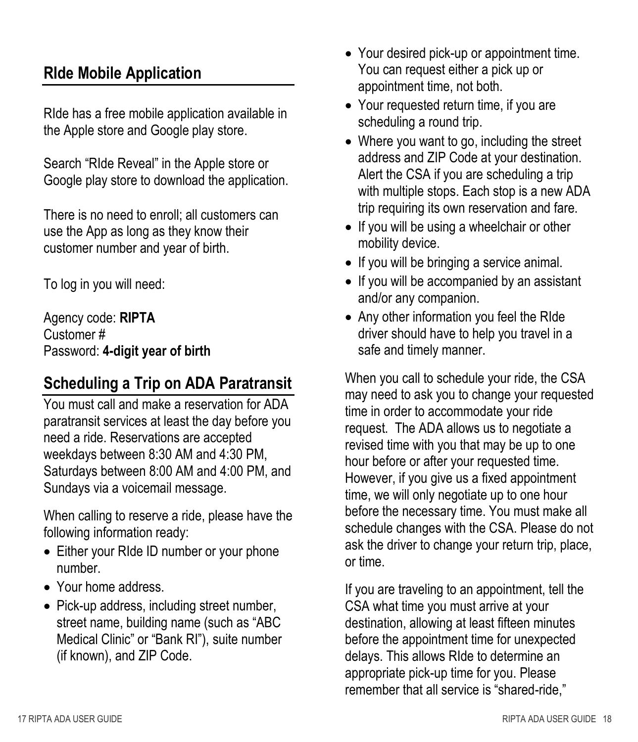#### **RIde Mobile Application**

RIde has a free mobile application available in the Apple store and Google play store.

Search "RIde Reveal" in the Apple store or Google play store to download the application.

There is no need to enroll; all customers can use the App as long as they know their customer number and year of birth.

To log in you will need:

Agency code: **RIPTA** Customer # Password: **4-digit year of birth**

#### **Scheduling a Trip on ADA Paratransit**

You must call and make a reservation for ADA paratransit services at least the day before you need a ride. Reservations are accepted weekdays between 8:30 AM and 4:30 PM, Saturdays between 8:00 AM and 4:00 PM, and Sundays via a voicemail message.

When calling to reserve a ride, please have the following information ready:

- Either your RIde ID number or your phone number.
- Your home address.
- Pick-up address, including street number, street name, building name (such as "ABC Medical Clinic" or "Bank RI"), suite number (if known), and ZIP Code.
- Your desired pick-up or appointment time. You can request either a pick up or appointment time, not both.
- Your requested return time, if you are scheduling a round trip.
- Where you want to go, including the street address and ZIP Code at your destination. Alert the CSA if you are scheduling a trip with multiple stops. Each stop is a new ADA trip requiring its own reservation and fare.
- If you will be using a wheelchair or other mobility device.
- If you will be bringing a service animal.
- If you will be accompanied by an assistant and/or any companion.
- Any other information you feel the RIde driver should have to help you travel in a safe and timely manner.

When you call to schedule your ride, the CSA may need to ask you to change your requested time in order to accommodate your ride request. The ADA allows us to negotiate a revised time with you that may be up to one hour before or after your requested time. However, if you give us a fixed appointment time, we will only negotiate up to one hour before the necessary time. You must make all schedule changes with the CSA. Please do not ask the driver to change your return trip, place, or time.

If you are traveling to an appointment, tell the CSA what time you must arrive at your destination, allowing at least fifteen minutes before the appointment time for unexpected delays. This allows RIde to determine an appropriate pick-up time for you. Please remember that all service is "shared-ride,"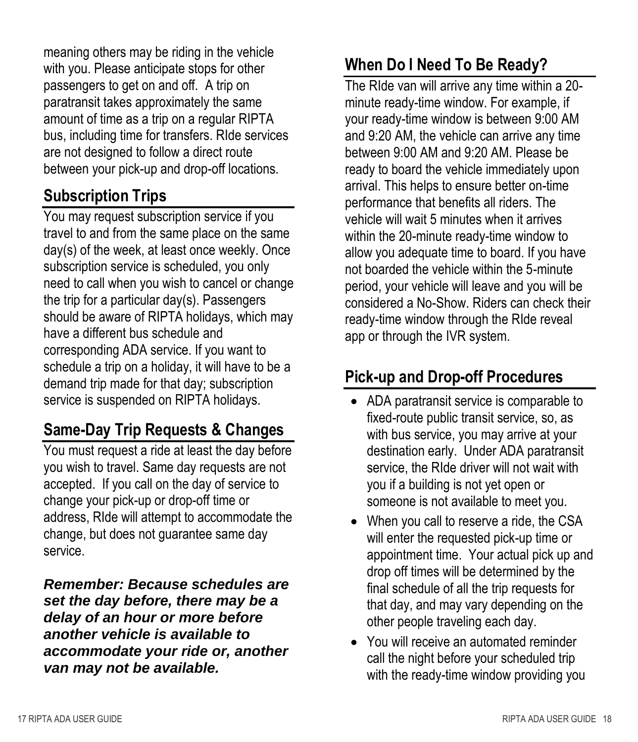meaning others may be riding in the vehicle with you. Please anticipate stops for other passengers to get on and off. A trip on paratransit takes approximately the same amount of time as a trip on a regular RIPTA bus, including time for transfers. RIde services are not designed to follow a direct route between your pick-up and drop-off locations.

#### **Subscription Trips**

You may request subscription service if you travel to and from the same place on the same day(s) of the week, at least once weekly. Once subscription service is scheduled, you only need to call when you wish to cancel or change the trip for a particular day(s). Passengers should be aware of RIPTA holidays, which may have a different bus schedule and corresponding ADA service. If you want to schedule a trip on a holiday, it will have to be a demand trip made for that day; subscription service is suspended on RIPTA holidays.

#### **Same-Day Trip Requests & Changes**

You must request a ride at least the day before you wish to travel. Same day requests are not accepted. If you call on the day of service to change your pick-up or drop-off time or address, RIde will attempt to accommodate the change, but does not guarantee same day service.

*Remember: Because schedules are set the day before, there may be a delay of an hour or more before another vehicle is available to accommodate your ride or, another van may not be available.* 

#### **When Do I Need To Be Ready?**

The RIde van will arrive any time within a 20 minute ready-time window. For example, if your ready-time window is between 9:00 AM and 9:20 AM, the vehicle can arrive any time between 9:00 AM and 9:20 AM. Please be ready to board the vehicle immediately upon arrival. This helps to ensure better on-time performance that benefits all riders. The vehicle will wait 5 minutes when it arrives within the 20-minute ready-time window to allow you adequate time to board. If you have not boarded the vehicle within the 5-minute period, your vehicle will leave and you will be considered a No-Show. Riders can check their ready-time window through the RIde reveal app or through the IVR system.

#### **Pick-up and Drop-off Procedures**

- ADA paratransit service is comparable to fixed-route public transit service, so, as with bus service, you may arrive at your destination early. Under ADA paratransit service, the RIde driver will not wait with you if a building is not yet open or someone is not available to meet you.
- When you call to reserve a ride, the CSA will enter the requested pick-up time or appointment time. Your actual pick up and drop off times will be determined by the final schedule of all the trip requests for that day, and may vary depending on the other people traveling each day.
- You will receive an automated reminder call the night before your scheduled trip with the ready-time window providing you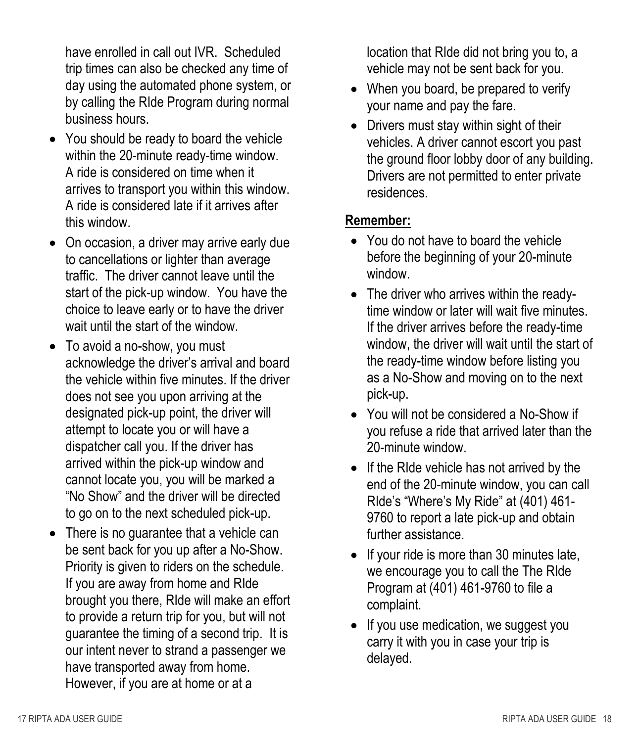have enrolled in call out IVR. Scheduled trip times can also be checked any time of day using the automated phone system, or by calling the RIde Program during normal business hours.

- You should be ready to board the vehicle within the 20-minute ready-time window. A ride is considered on time when it arrives to transport you within this window. A ride is considered late if it arrives after this window.
- On occasion, a driver may arrive early due to cancellations or lighter than average traffic. The driver cannot leave until the start of the pick-up window. You have the choice to leave early or to have the driver wait until the start of the window.
- To avoid a no-show, you must acknowledge the driver's arrival and board the vehicle within five minutes. If the driver does not see you upon arriving at the designated pick-up point, the driver will attempt to locate you or will have a dispatcher call you. If the driver has arrived within the pick-up window and cannot locate you, you will be marked a "No Show" and the driver will be directed to go on to the next scheduled pick-up.
- There is no guarantee that a vehicle can be sent back for you up after a No-Show. Priority is given to riders on the schedule. If you are away from home and RIde brought you there, RIde will make an effort to provide a return trip for you, but will not guarantee the timing of a second trip. It is our intent never to strand a passenger we have transported away from home. However, if you are at home or at a

location that RIde did not bring you to, a vehicle may not be sent back for you.

- When you board, be prepared to verify your name and pay the fare.
- Drivers must stay within sight of their vehicles. A driver cannot escort you past the ground floor lobby door of any building. Drivers are not permitted to enter private residences.

#### **Remember:**

- You do not have to board the vehicle before the beginning of your 20-minute window.
- The driver who arrives within the readytime window or later will wait five minutes. If the driver arrives before the ready-time window, the driver will wait until the start of the ready-time window before listing you as a No-Show and moving on to the next pick-up.
- You will not be considered a No-Show if you refuse a ride that arrived later than the 20-minute window.
- If the RIde vehicle has not arrived by the end of the 20-minute window, you can call RIde's "Where's My Ride" at (401) 461- 9760 to report a late pick-up and obtain further assistance.
- $\bullet$  If your ride is more than 30 minutes late, we encourage you to call the The RIde Program at (401) 461-9760 to file a complaint.
- If you use medication, we suggest you carry it with you in case your trip is delayed.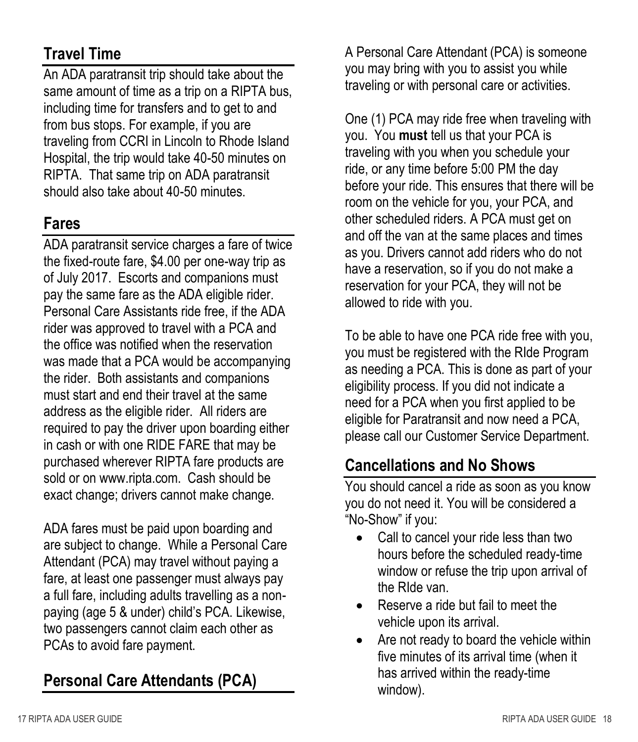#### **Travel Time**

An ADA paratransit trip should take about the same amount of time as a trip on a RIPTA bus, including time for transfers and to get to and from bus stops. For example, if you are traveling from CCRI in Lincoln to Rhode Island Hospital, the trip would take 40-50 minutes on RIPTA. That same trip on ADA paratransit should also take about 40-50 minutes.

#### **Fares**

ADA paratransit service charges a fare of twice the fixed-route fare, \$4.00 per one-way trip as of July 2017. Escorts and companions must pay the same fare as the ADA eligible rider. Personal Care Assistants ride free, if the ADA rider was approved to travel with a PCA and the office was notified when the reservation was made that a PCA would be accompanying the rider. Both assistants and companions must start and end their travel at the same address as the eligible rider. All riders are required to pay the driver upon boarding either in cash or with one RIDE FARE that may be purchased wherever RIPTA fare products are sold or on [www.ripta.com.](http://www.ripta.com/) Cash should be exact change; drivers cannot make change.

ADA fares must be paid upon boarding and are subject to change. While a Personal Care Attendant (PCA) may travel without paying a fare, at least one passenger must always pay a full fare, including adults travelling as a nonpaying (age 5 & under) child's PCA. Likewise, two passengers cannot claim each other as PCAs to avoid fare payment.

#### **Personal Care Attendants (PCA)**

A Personal Care Attendant (PCA) is someone you may bring with you to assist you while traveling or with personal care or activities.

One (1) PCA may ride free when traveling with you. You **must** tell us that your PCA is traveling with you when you schedule your ride, or any time before 5:00 PM the day before your ride. This ensures that there will be room on the vehicle for you, your PCA, and other scheduled riders. A PCA must get on and off the van at the same places and times as you. Drivers cannot add riders who do not have a reservation, so if you do not make a reservation for your PCA, they will not be allowed to ride with you.

To be able to have one PCA ride free with you, you must be registered with the RIde Program as needing a PCA. This is done as part of your eligibility process. If you did not indicate a need for a PCA when you first applied to be eligible for Paratransit and now need a PCA, please call our Customer Service Department.

#### **Cancellations and No Shows**

You should cancel a ride as soon as you know you do not need it. You will be considered a "No-Show" if you:

- Call to cancel your ride less than two hours before the scheduled ready-time window or refuse the trip upon arrival of the RIde van.
- Reserve a ride but fail to meet the vehicle upon its arrival.
- Are not ready to board the vehicle within five minutes of its arrival time (when it has arrived within the ready-time window).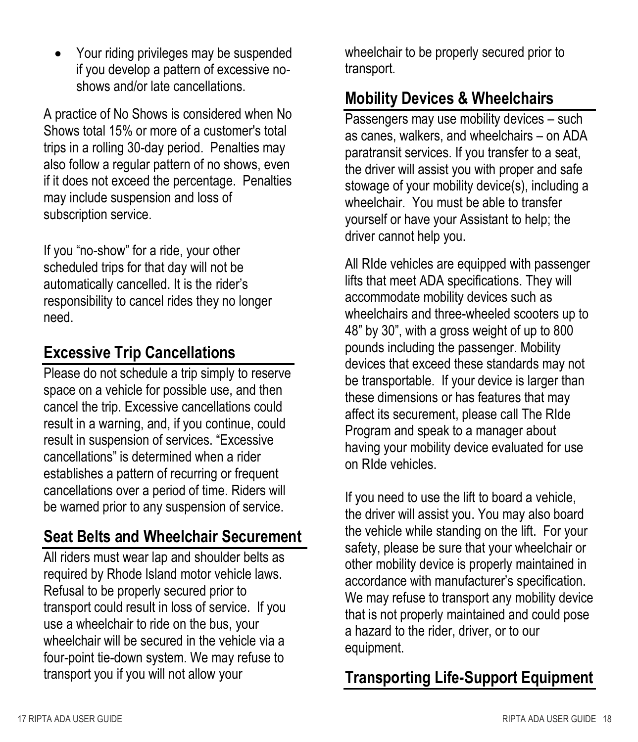• Your riding privileges may be suspended if you develop a pattern of excessive noshows and/or late cancellations.

A practice of No Shows is considered when No Shows total 15% or more of a customer's total trips in a rolling 30-day period. Penalties may also follow a regular pattern of no shows, even if it does not exceed the percentage. Penalties may include suspension and loss of subscription service.

If you "no-show" for a ride, your other scheduled trips for that day will not be automatically cancelled. It is the rider's responsibility to cancel rides they no longer need.

#### **Excessive Trip Cancellations**

Please do not schedule a trip simply to reserve space on a vehicle for possible use, and then cancel the trip. Excessive cancellations could result in a warning, and, if you continue, could result in suspension of services. "Excessive cancellations" is determined when a rider establishes a pattern of recurring or frequent cancellations over a period of time. Riders will be warned prior to any suspension of service.

#### **Seat Belts and Wheelchair Securement**

All riders must wear lap and shoulder belts as required by Rhode Island motor vehicle laws. Refusal to be properly secured prior to transport could result in loss of service. If you use a wheelchair to ride on the bus, your wheelchair will be secured in the vehicle via a four-point tie-down system. We may refuse to transport you if you will not allow your

wheelchair to be properly secured prior to transport.

#### **Mobility Devices & Wheelchairs**

Passengers may use mobility devices – such as canes, walkers, and wheelchairs – on ADA paratransit services. If you transfer to a seat, the driver will assist you with proper and safe stowage of your mobility device(s), including a wheelchair. You must be able to transfer yourself or have your Assistant to help; the driver cannot help you.

All RIde vehicles are equipped with passenger lifts that meet ADA specifications. They will accommodate mobility devices such as wheelchairs and three-wheeled scooters up to 48" by 30", with a gross weight of up to 800 pounds including the passenger. Mobility devices that exceed these standards may not be transportable. If your device is larger than these dimensions or has features that may affect its securement, please call The RIde Program and speak to a manager about having your mobility device evaluated for use on RIde vehicles.

If you need to use the lift to board a vehicle, the driver will assist you. You may also board the vehicle while standing on the lift. For your safety, please be sure that your wheelchair or other mobility device is properly maintained in accordance with manufacturer's specification. We may refuse to transport any mobility device that is not properly maintained and could pose a hazard to the rider, driver, or to our equipment.

#### **Transporting Life-Support Equipment**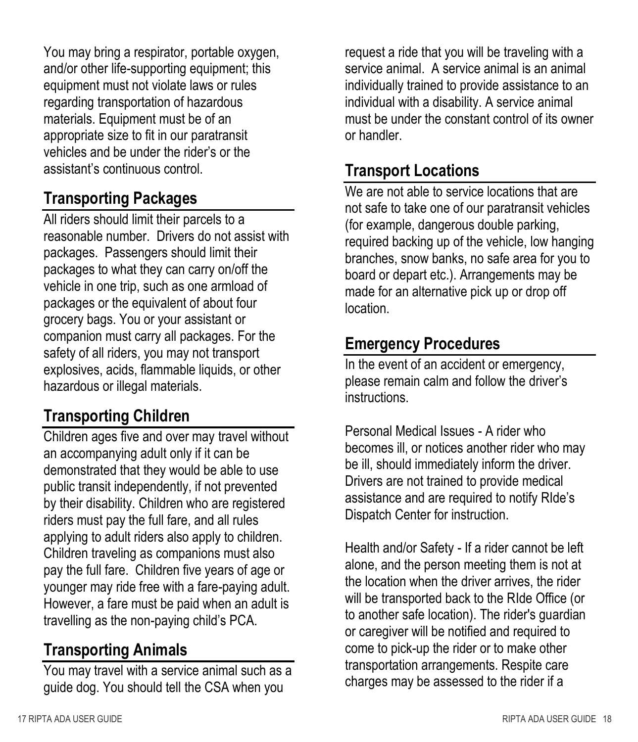You may bring a respirator, portable oxygen, and/or other life-supporting equipment; this equipment must not violate laws or rules regarding transportation of hazardous materials. Equipment must be of an appropriate size to fit in our paratransit vehicles and be under the rider's or the assistant's continuous control.

#### **Transporting Packages**

All riders should limit their parcels to a reasonable number. Drivers do not assist with packages. Passengers should limit their packages to what they can carry on/off the vehicle in one trip, such as one armload of packages or the equivalent of about four grocery bags. You or your assistant or companion must carry all packages. For the safety of all riders, you may not transport explosives, acids, flammable liquids, or other hazardous or illegal materials.

#### **Transporting Children**

Children ages five and over may travel without an accompanying adult only if it can be demonstrated that they would be able to use public transit independently, if not prevented by their disability. Children who are registered riders must pay the full fare, and all rules applying to adult riders also apply to children. Children traveling as companions must also pay the full fare. Children five years of age or younger may ride free with a fare-paying adult. However, a fare must be paid when an adult is travelling as the non-paying child's PCA.

#### **Transporting Animals**

You may travel with a service animal such as a guide dog. You should tell the CSA when you

request a ride that you will be traveling with a service animal. A service animal is an animal individually trained to provide assistance to an individual with a disability. A service animal must be under the constant control of its owner or handler.

#### **Transport Locations**

We are not able to service locations that are not safe to take one of our paratransit vehicles (for example, dangerous double parking, required backing up of the vehicle, low hanging branches, snow banks, no safe area for you to board or depart etc.). Arrangements may be made for an alternative pick up or drop off location.

#### **Emergency Procedures**

In the event of an accident or emergency, please remain calm and follow the driver's instructions.

Personal Medical Issues - A rider who becomes ill, or notices another rider who may be ill, should immediately inform the driver. Drivers are not trained to provide medical assistance and are required to notify RIde's Dispatch Center for instruction.

Health and/or Safety - If a rider cannot be left alone, and the person meeting them is not at the location when the driver arrives, the rider will be transported back to the RIde Office (or to another safe location). The rider's guardian or caregiver will be notified and required to come to pick-up the rider or to make other transportation arrangements. Respite care charges may be assessed to the rider if a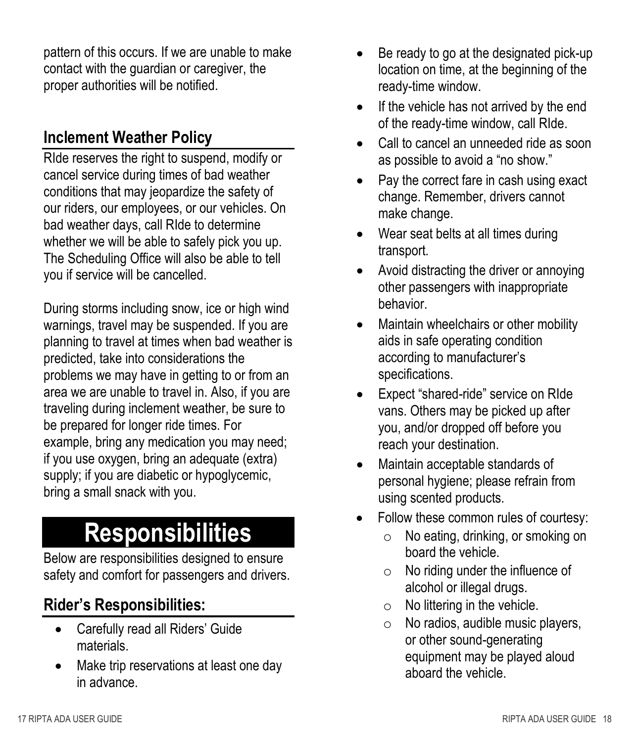pattern of this occurs. If we are unable to make contact with the guardian or caregiver, the proper authorities will be notified.

#### **Inclement Weather Policy**

RIde reserves the right to suspend, modify or cancel service during times of bad weather conditions that may jeopardize the safety of our riders, our employees, or our vehicles. On bad weather days, call RIde to determine whether we will be able to safely pick you up. The Scheduling Office will also be able to tell you if service will be cancelled.

During storms including snow, ice or high wind warnings, travel may be suspended. If you are planning to travel at times when bad weather is predicted, take into considerations the problems we may have in getting to or from an area we are unable to travel in. Also, if you are traveling during inclement weather, be sure to be prepared for longer ride times. For example, bring any medication you may need; if you use oxygen, bring an adequate (extra) supply; if you are diabetic or hypoglycemic, bring a small snack with you.

### **Responsibilities**

Below are responsibilities designed to ensure safety and comfort for passengers and drivers.

#### **Rider's Responsibilities:**

- Carefully read all Riders' Guide materials.
- Make trip reservations at least one day in advance.
- Be ready to go at the designated pick-up location on time, at the beginning of the ready-time window.
- If the vehicle has not arrived by the end of the ready-time window, call RIde.
- Call to cancel an unneeded ride as soon as possible to avoid a "no show."
- Pay the correct fare in cash using exact change. Remember, drivers cannot make change.
- Wear seat belts at all times during transport.
- Avoid distracting the driver or annoying other passengers with inappropriate behavior.
- Maintain wheelchairs or other mobility aids in safe operating condition according to manufacturer's specifications.
- Expect "shared-ride" service on RIde vans. Others may be picked up after you, and/or dropped off before you reach your destination.
- Maintain acceptable standards of personal hygiene; please refrain from using scented products.
- Follow these common rules of courtesy:
	- o No eating, drinking, or smoking on board the vehicle.
	- $\circ$  No riding under the influence of alcohol or illegal drugs.
	- $\circ$  No littering in the vehicle.
	- $\circ$  No radios, audible music players, or other sound-generating equipment may be played aloud aboard the vehicle.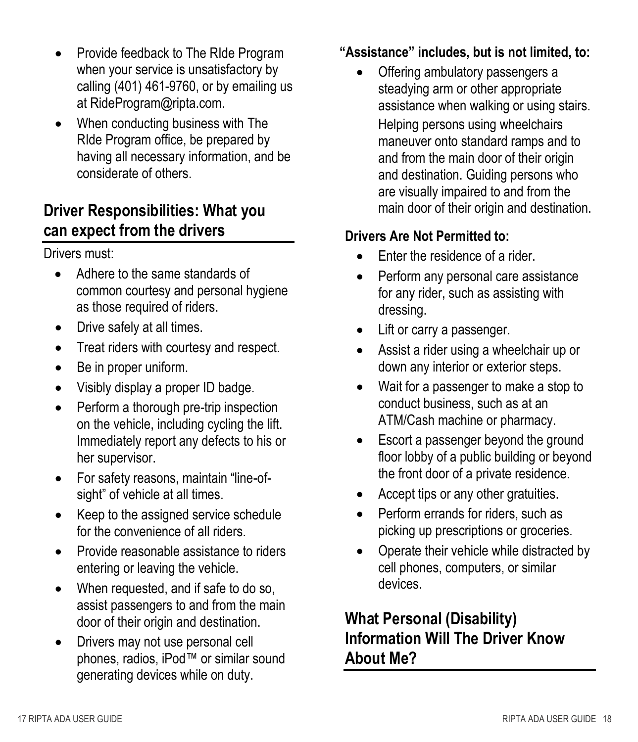- Provide feedback to The RIde Program when your service is unsatisfactory by calling (401) 461-9760, or by emailing us at RideProgram@ripta.com.
- When conducting business with The RIde Program office, be prepared by having all necessary information, and be considerate of others.

#### **Driver Responsibilities: What you can expect from the drivers**

Drivers must:

- Adhere to the same standards of common courtesy and personal hygiene as those required of riders.
- Drive safely at all times.
- Treat riders with courtesy and respect.
- Be in proper uniform.
- Visibly display a proper ID badge.
- Perform a thorough pre-trip inspection on the vehicle, including cycling the lift. Immediately report any defects to his or her supervisor.
- For safety reasons, maintain "line-ofsight" of vehicle at all times.
- Keep to the assigned service schedule for the convenience of all riders.
- Provide reasonable assistance to riders entering or leaving the vehicle.
- When requested, and if safe to do so, assist passengers to and from the main door of their origin and destination.
- Drivers may not use personal cell phones, radios, iPod™ or similar sound generating devices while on duty.

#### **"Assistance" includes, but is not limited, to:**

 Offering ambulatory passengers a steadying arm or other appropriate assistance when walking or using stairs. Helping persons using wheelchairs maneuver onto standard ramps and to and from the main door of their origin and destination. Guiding persons who are visually impaired to and from the main door of their origin and destination.

#### **Drivers Are Not Permitted to:**

- Enter the residence of a rider.
- Perform any personal care assistance for any rider, such as assisting with dressing.
- Lift or carry a passenger.
- Assist a rider using a wheelchair up or down any interior or exterior steps.
- Wait for a passenger to make a stop to conduct business, such as at an ATM/Cash machine or pharmacy.
- Escort a passenger beyond the ground floor lobby of a public building or beyond the front door of a private residence.
- Accept tips or any other gratuities.
- Perform errands for riders, such as picking up prescriptions or groceries.
- Operate their vehicle while distracted by cell phones, computers, or similar devices.

#### **What Personal (Disability) Information Will The Driver Know About Me?**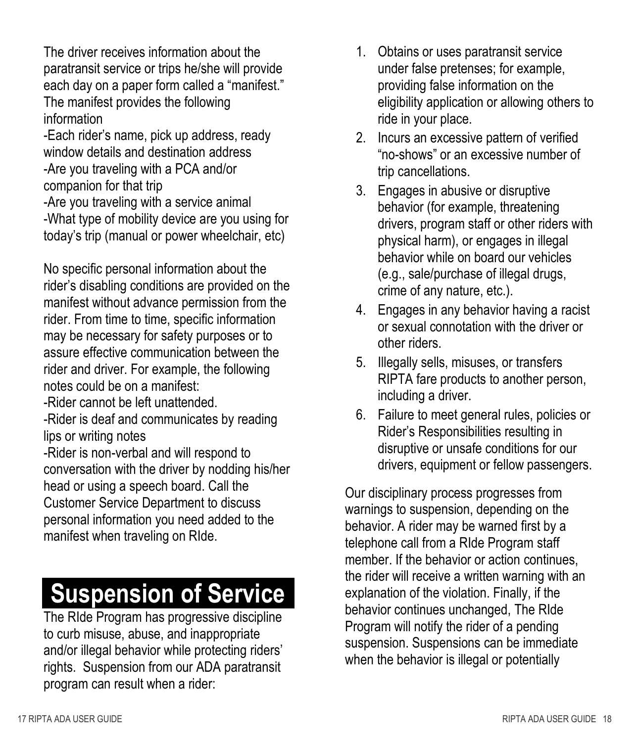The driver receives information about the paratransit service or trips he/she will provide each day on a paper form called a "manifest." The manifest provides the following information

-Each rider's name, pick up address, ready window details and destination address -Are you traveling with a PCA and/or companion for that trip

-Are you traveling with a service animal -What type of mobility device are you using for today's trip (manual or power wheelchair, etc)

No specific personal information about the rider's disabling conditions are provided on the manifest without advance permission from the rider. From time to time, specific information may be necessary for safety purposes or to assure effective communication between the rider and driver. For example, the following notes could be on a manifest:

-Rider cannot be left unattended.

-Rider is deaf and communicates by reading lips or writing notes

-Rider is non-verbal and will respond to conversation with the driver by nodding his/her head or using a speech board. Call the Customer Service Department to discuss personal information you need added to the manifest when traveling on RIde.

### **Suspension of Service**

The RIde Program has progressive discipline to curb misuse, abuse, and inappropriate and/or illegal behavior while protecting riders' rights. Suspension from our ADA paratransit program can result when a rider:

- 1. Obtains or uses paratransit service under false pretenses; for example, providing false information on the eligibility application or allowing others to ride in your place.
- 2. Incurs an excessive pattern of verified "no-shows" or an excessive number of trip cancellations.
- 3. Engages in abusive or disruptive behavior (for example, threatening drivers, program staff or other riders with physical harm), or engages in illegal behavior while on board our vehicles (e.g., sale/purchase of illegal drugs, crime of any nature, etc.).
- 4. Engages in any behavior having a racist or sexual connotation with the driver or other riders.
- 5. Illegally sells, misuses, or transfers RIPTA fare products to another person, including a driver.
- 6. Failure to meet general rules, policies or Rider's Responsibilities resulting in disruptive or unsafe conditions for our drivers, equipment or fellow passengers.

Our disciplinary process progresses from warnings to suspension, depending on the behavior. A rider may be warned first by a telephone call from a RIde Program staff member. If the behavior or action continues, the rider will receive a written warning with an explanation of the violation. Finally, if the behavior continues unchanged, The RIde Program will notify the rider of a pending suspension. Suspensions can be immediate when the behavior is illegal or potentially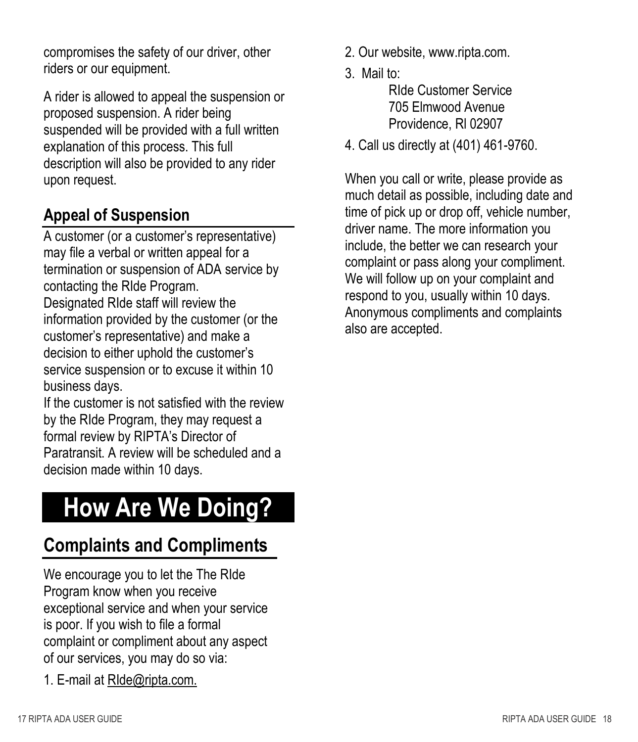compromises the safety of our driver, other riders or our equipment.

A rider is allowed to appeal the suspension or proposed suspension. A rider being suspended will be provided with a full written explanation of this process. This full description will also be provided to any rider upon request.

#### **Appeal of Suspension**

A customer (or a customer's representative) may file a verbal or written appeal for a termination or suspension of ADA service by contacting the RIde Program.

Designated RIde staff will review the information provided by the customer (or the customer's representative) and make a decision to either uphold the customer's service suspension or to excuse it within 10 business days.

If the customer is not satisfied with the review by the RIde Program, they may request a formal review by RIPTA's Director of Paratransit. A review will be scheduled and a decision made within 10 days.

### **How Are We Doing?**

#### **Complaints and Compliments**

We encourage you to let the The RIde Program know when you receive exceptional service and when your service is poor. If you wish to file a formal complaint or compliment about any aspect of our services, you may do so via:

1. E-mail at [RIde@ripta.com.](mailto:RIde@ripta.com.)

- 2. Our website, www.ripta.com.
- 3. Mail to:

RIde Customer Service 705 Elmwood Avenue Providence, Rl 02907

4. Call us directly at (401) 461-9760.

When you call or write, please provide as much detail as possible, including date and time of pick up or drop off, vehicle number, driver name. The more information you include, the better we can research your complaint or pass along your compliment. We will follow up on your complaint and respond to you, usually within 10 days. Anonymous compliments and complaints also are accepted.